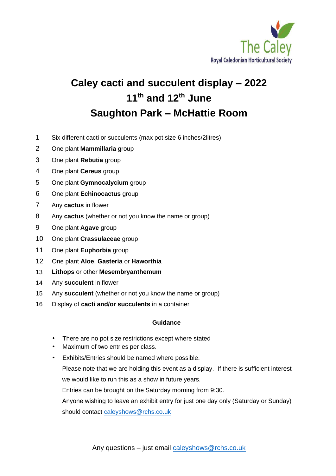

# **Caley cacti and succulent display – 2022 11th and 12 th June Saughton Park – McHattie Room**

- 1 Six different cacti or succulents (max pot size 6 inches/2litres)
- 2 One plant **Mammillaria** group
- 3 One plant **Rebutia** group
- 4 One plant **Cereus** group
- 5 One plant **Gymnocalycium** group
- 6 One plant **Echinocactus** group
- 7 Any **cactus** in flower
- 8 Any **cactus** (whether or not you know the name or group)
- 9 One plant **Agave** group
- 10 One plant **Crassulaceae** group
- 11 One plant **Euphorbia** group
- 12 One plant **Aloe**, **Gasteria** or **Haworthia**
- 13 **Lithops** or other **Mesembryanthemum**
- 14 Any **succulent** in flower
- 15 Any **succulent** (whether or not you know the name or group)
- 16 Display of **cacti and/or succulents** in a container

#### **Guidance**

- There are no pot size restrictions except where stated
- Maximum of two entries per class.
- Exhibits/Entries should be named where possible.

Please note that we are holding this event as a display. If there is sufficient interest we would like to run this as a show in future years.

Entries can be brought on the Saturday morning from 9:30.

Anyone wishing to leave an exhibit entry for just one day only (Saturday or Sunday) should cont[act caleyshows@rchs.co.u](mailto:caleyshows@rchs.co.uk)k